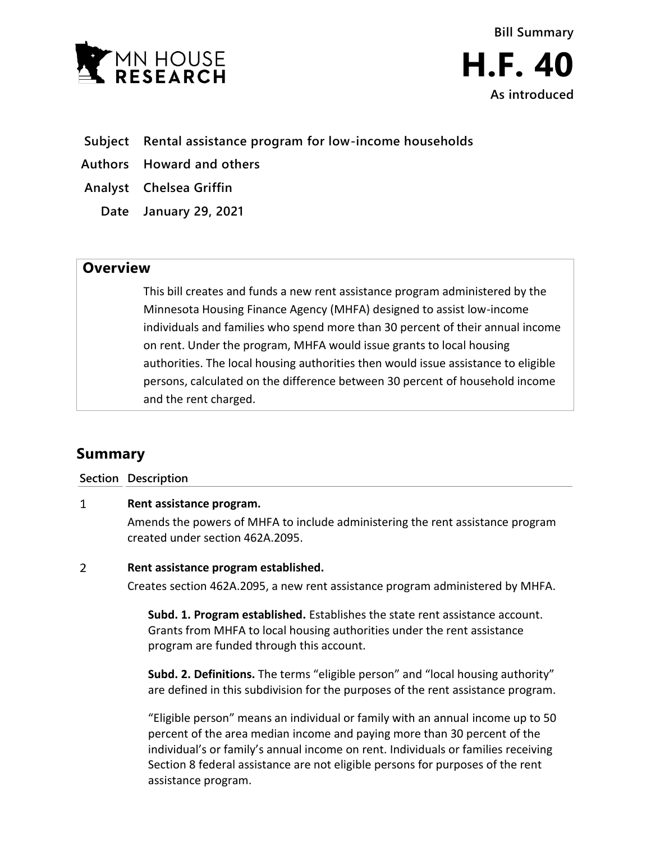



- **Subject Rental assistance program for low-income households**
- **Authors Howard and others**
- **Analyst Chelsea Griffin**
	- **Date January 29, 2021**

## **Overview**

This bill creates and funds a new rent assistance program administered by the Minnesota Housing Finance Agency (MHFA) designed to assist low-income individuals and families who spend more than 30 percent of their annual income on rent. Under the program, MHFA would issue grants to local housing authorities. The local housing authorities then would issue assistance to eligible persons, calculated on the difference between 30 percent of household income and the rent charged.

# **Summary**

### **Section Description**

#### $\mathbf{1}$ **Rent assistance program.**

Amends the powers of MHFA to include administering the rent assistance program created under section 462A.2095.

#### $\overline{2}$ **Rent assistance program established.**

Creates section 462A.2095, a new rent assistance program administered by MHFA.

**Subd. 1. Program established.** Establishes the state rent assistance account. Grants from MHFA to local housing authorities under the rent assistance program are funded through this account.

**Subd. 2. Definitions.** The terms "eligible person" and "local housing authority" are defined in this subdivision for the purposes of the rent assistance program.

"Eligible person" means an individual or family with an annual income up to 50 percent of the area median income and paying more than 30 percent of the individual's or family's annual income on rent. Individuals or families receiving Section 8 federal assistance are not eligible persons for purposes of the rent assistance program.